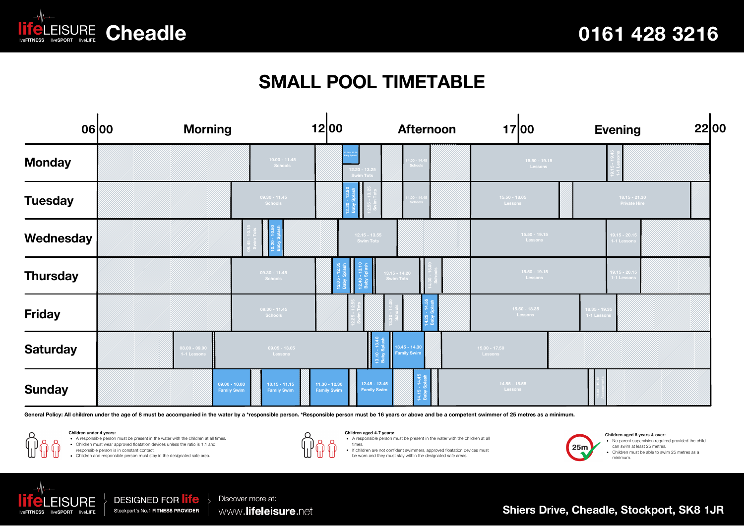

## **SMALL POOL TIMETABLE**

|                 | 06 00 | <b>Morning</b>               |                                                                                | 12 00                                                                          | <b>Afternoon</b>                    | 17 00                      | <b>Evening</b>                         | 2200 |
|-----------------|-------|------------------------------|--------------------------------------------------------------------------------|--------------------------------------------------------------------------------|-------------------------------------|----------------------------|----------------------------------------|------|
| <b>Monday</b>   |       |                              | $10.00 - 11.45$<br>Schools                                                     | $12.20 - 13.25$<br><b>Swim Tots</b>                                            | $14.00 - 14.45$                     | $15.50 - 19.15$<br>Lessons |                                        |      |
| <b>Tuesday</b>  |       |                              | $09.30 - 11.45$<br>Schools                                                     |                                                                                | $4.00 - 14.4$                       | $15.50 - 18.05$<br>Lessons | $18.15 - 21.30$<br><b>Private Hire</b> |      |
| Wednesday       |       |                              |                                                                                | $12.15 - 13.55$<br>Swim Tots                                                   |                                     | $15.50 - 19.15$<br>Lessons | $19.15 - 20.15$<br>1-1 Lessor          |      |
| <b>Thursday</b> |       |                              | $09.30 - 11.45$<br>Schools                                                     |                                                                                | 13.15 - 14.20<br>Swim Tots          | $15.50 - 19.15$<br>Lessons | $19.15 - 20.15$<br>1-1 Lesson          |      |
| <b>Friday</b>   |       |                              | $09.30 - 11.45$<br>Schools                                                     |                                                                                |                                     | $15.50 - 18.35$<br>Lessons | $18.35 - 19.35$<br>1-1 Lessons         |      |
| <b>Saturday</b> |       | $08.00 - 09.0$<br>1-1 Lesson | $09.05 - 13.05$<br>Lessons                                                     |                                                                                | 13.45 - 14.30<br><b>Family Swim</b> | $15.00 - 17.50$<br>Lessons |                                        |      |
| <b>Sunday</b>   |       |                              | $09.00 - 10.00$<br>$10.15 - 11.15$<br><b>Family Swim</b><br><b>Family Swim</b> | $12.45 - 13.45$<br>$11.30 - 12.30$<br><b>Family Swim</b><br><b>Family Swim</b> |                                     | $14.55 - 18.55$<br>Lessons |                                        |      |

General Policy: All children under the age of 8 must be accompanied in the water by a \*responsible person. \*Responsible person must be 16 years or above and be a competent swimmer of 25 metres as a minimum.

**Children under 4 years:**

A responsible person must be present in the water with the children at all times.

Children must wear approved floatation devices unless the ratio is 1:1 and

responsible person is in constant contact. Children and responsible person must stay in the designated safe area.



**Children aged 4-7 years: Children aged 8 years & over:**<br>• A responsible person must be present in the water with the children at all **Children aged 4-7 years:**

times.





No parent supervision required provided the child can swim at least 25 metres. Children must be able to swim 25 metres as a

minimum.



**DESIGNED FOR life** Stockport's No.1 FITNESS PROVIDER

Discover more at: www.lifeleisure.net

**Shiers Drive, Cheadle, Stockport, SK8 1JR**